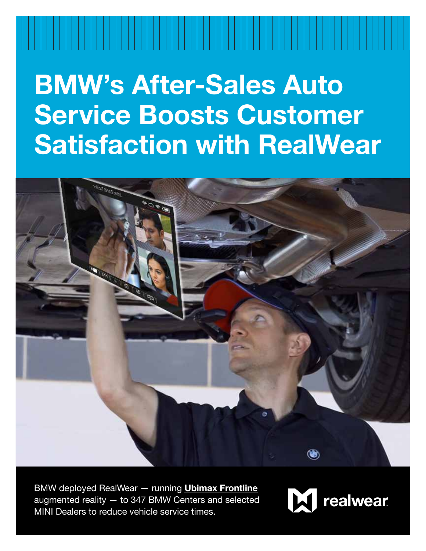# **BMW's After-Sales Auto Service Boosts Customer Satisfaction with RealWear**



BMW deployed RealWear — running **[Ubimax Frontline](https://www.ubimax.com/frontline-solution-premium-automaker)** augmented reality — to 347 BMW Centers and selected MINI Dealers to reduce vehicle service times.

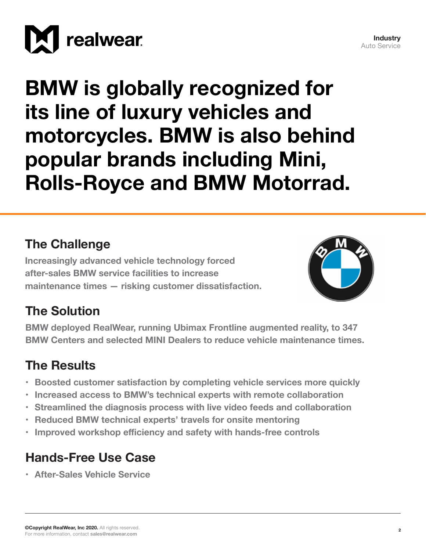

**BMW is globally recognized for its line of luxury vehicles and motorcycles. BMW is also behind popular brands including Mini, Rolls-Royce and BMW Motorrad.**

#### **The Challenge**

**Increasingly advanced vehicle technology forced after-sales BMW service facilities to increase maintenance times — risking customer dissatisfaction.**



**Industry** Auto Service

## **The Solution**

**BMW deployed RealWear, running Ubimax Frontline augmented reality, to 347 BMW Centers and selected MINI Dealers to reduce vehicle maintenance times.**

## **The Results**

- **• Boosted customer satisfaction by completing vehicle services more quickly**
- **• Increased access to BMW's technical experts with remote collaboration**
- **• Streamlined the diagnosis process with live video feeds and collaboration**
- **• Reduced BMW technical experts' travels for onsite mentoring**
- **• Improved workshop efficiency and safety with hands-free controls**

# **Hands-Free Use Case**

**• After-Sales Vehicle Service**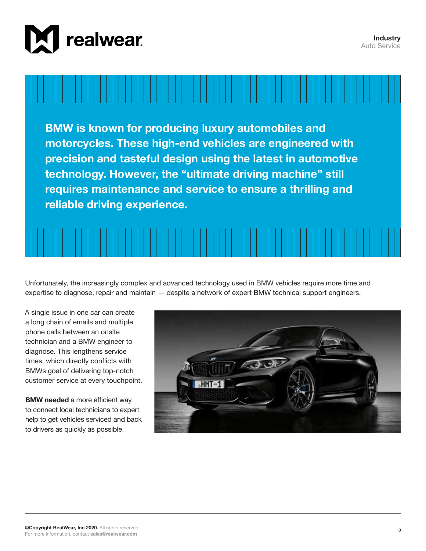



**BMW is known for producing luxury automobiles and motorcycles. These high-end vehicles are engineered with precision and tasteful design using the latest in automotive technology. However, the "ultimate driving machine" still requires maintenance and service to ensure a thrilling and reliable driving experience.** 



Unfortunately, the increasingly complex and advanced technology used in BMW vehicles require more time and expertise to diagnose, repair and maintain — despite a network of expert BMW technical support engineers.

A single issue in one car can create a long chain of emails and multiple phone calls between an onsite technician and a BMW engineer to diagnose. This lengthens service times, which directly conflicts with BMWs goal of delivering top-notch customer service at every touchpoint.

**[BMW needed](https://realwear.com/newsroom/press-releases/bmw-deploys-ubimax-frontline-realwear-hmt-1/)** a more efficient way to connect local technicians to expert help to get vehicles serviced and back to drivers as quickly as possible.

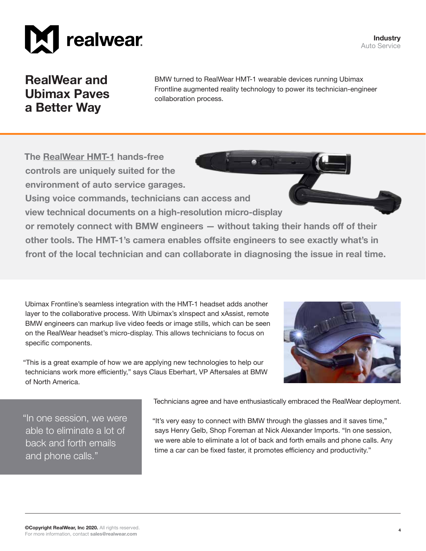



**RealWear and Ubimax Paves a Better Way**

BMW turned to RealWear HMT-1 wearable devices running Ubimax Frontline augmented reality technology to power its technician-engineer collaboration process.

**The [RealWear HMT-1](https://realwear.com/products/hmt-1/) hands-free controls are uniquely suited for the environment of auto service garages.** 

**Using voice commands, technicians can access and** 

**view technical documents on a high-resolution micro-display** 

**or remotely connect with BMW engineers — without taking their hands off of their other tools. The HMT-1's camera enables offsite engineers to see exactly what's in front of the local technician and can collaborate in diagnosing the issue in real time.**

Ubimax Frontline's seamless integration with the HMT-1 headset adds another layer to the collaborative process. With Ubimax's xInspect and xAssist, remote BMW engineers can markup live video feeds or image stills, which can be seen on the RealWear headset's micro-display. This allows technicians to focus on specific components.

"This is a great example of how we are applying new technologies to help our technicians work more efficiently," says Claus Eberhart, VP Aftersales at BMW of North America.

"In one session, we were able to eliminate a lot of back and forth emails and phone calls."

Technicians agree and have enthusiastically embraced the RealWear deployment.

"It's very easy to connect with BMW through the glasses and it saves time," says Henry Gelb, Shop Foreman at Nick Alexander Imports. "In one session, we were able to eliminate a lot of back and forth emails and phone calls. Any time a car can be fixed faster, it promotes efficiency and productivity."